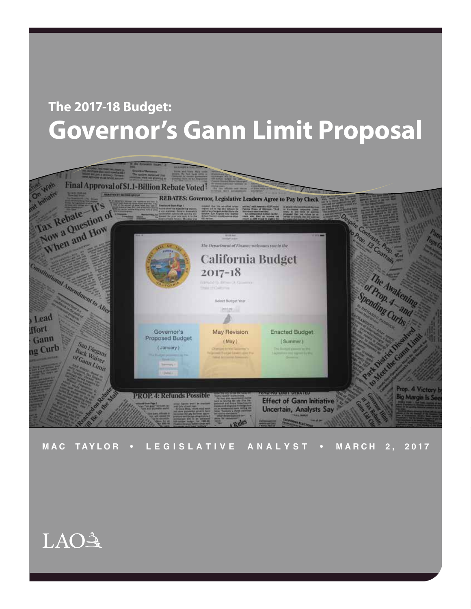# **The 2017-18 Budget: Governor's Gann Limit Proposal**



### MAC TAYLOR . LEGISLATIVE ANALYST . MARCH 2, 2017

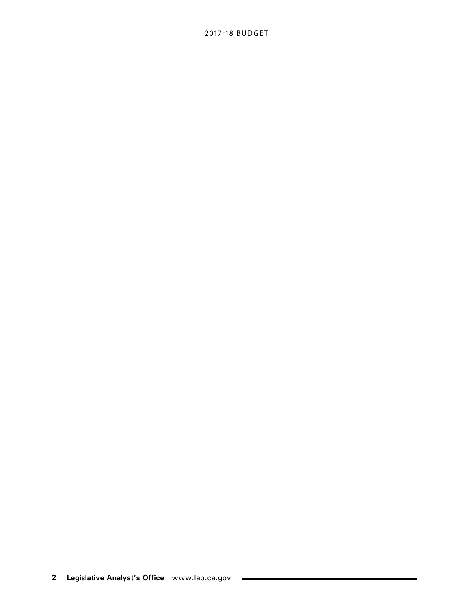#### 2017-18 BUDGET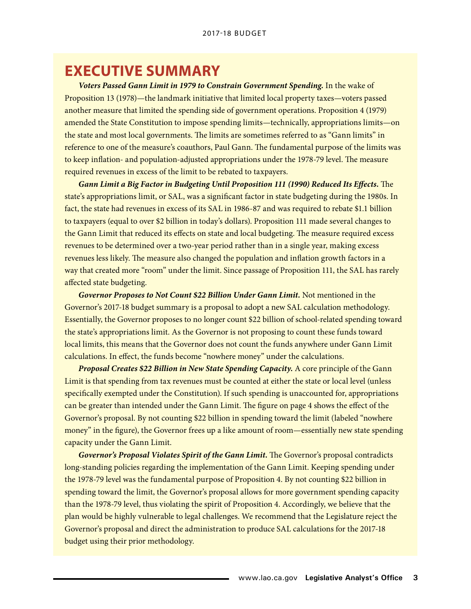# **EXECUTIVE SUMMARY**

**Voters Passed Gann Limit in 1979 to Constrain Government Spending.** In the wake of Proposition 13 (1978)—the landmark initiative that limited local property taxes—voters passed another measure that limited the spending side of government operations. Proposition 4 (1979) amended the State Constitution to impose spending limits—technically, appropriations limits—on the state and most local governments. The limits are sometimes referred to as "Gann limits" in reference to one of the measure's coauthors, Paul Gann. The fundamental purpose of the limits was to keep inflation- and population-adjusted appropriations under the 1978-79 level. The measure required revenues in excess of the limit to be rebated to taxpayers.

*Gann Limit a Big Factor in Budgeting Until Proposition 111 (1990) Reduced Its Effects.* The state's appropriations limit, or SAL, was a significant factor in state budgeting during the 1980s. In fact, the state had revenues in excess of its SAL in 1986-87 and was required to rebate \$1.1 billion to taxpayers (equal to over \$2 billion in today's dollars). Proposition 111 made several changes to the Gann Limit that reduced its effects on state and local budgeting. The measure required excess revenues to be determined over a two-year period rather than in a single year, making excess revenues less likely. The measure also changed the population and inflation growth factors in a way that created more "room" under the limit. Since passage of Proposition 111, the SAL has rarely affected state budgeting.

*Governor Proposes to Not Count \$22 Billion Under Gann Limit.* Not mentioned in the Governor's 2017-18 budget summary is a proposal to adopt a new SAL calculation methodology. Essentially, the Governor proposes to no longer count \$22 billion of school-related spending toward the state's appropriations limit. As the Governor is not proposing to count these funds toward local limits, this means that the Governor does not count the funds anywhere under Gann Limit calculations. In effect, the funds become "nowhere money" under the calculations.

*Proposal Creates \$22 Billion in New State Spending Capacity.* A core principle of the Gann Limit is that spending from tax revenues must be counted at either the state or local level (unless specifically exempted under the Constitution). If such spending is unaccounted for, appropriations can be greater than intended under the Gann Limit. The figure on page 4 shows the effect of the Governor's proposal. By not counting \$22 billion in spending toward the limit (labeled "nowhere money" in the figure), the Governor frees up a like amount of room—essentially new state spending capacity under the Gann Limit.

Governor's Proposal Violates Spirit of the Gann Limit. The Governor's proposal contradicts long-standing policies regarding the implementation of the Gann Limit. Keeping spending under the 1978-79 level was the fundamental purpose of Proposition 4. By not counting \$22 billion in spending toward the limit, the Governor's proposal allows for more government spending capacity than the 1978-79 level, thus violating the spirit of Proposition 4. Accordingly, we believe that the plan would be highly vulnerable to legal challenges. We recommend that the Legislature reject the Governor's proposal and direct the administration to produce SAL calculations for the 2017-18 budget using their prior methodology.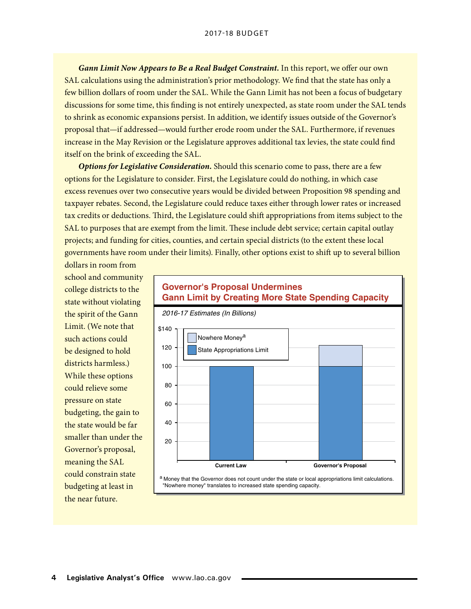*Gann Limit Now Appears to Be a Real Budget Constraint.* In this report, we offer our own SAL calculations using the administration's prior methodology. We find that the state has only a few billion dollars of room under the SAL. While the Gann Limit has not been a focus of budgetary discussions for some time, this finding is not entirely unexpected, as state room under the SAL tends to shrink as economic expansions persist. In addition, we identify issues outside of the Governor's proposal that—if addressed—would further erode room under the SAL. Furthermore, if revenues increase in the May Revision or the Legislature approves additional tax levies, the state could find itself on the brink of exceeding the SAL.

*Options for Legislative Consideration.* Should this scenario come to pass, there are a few options for the Legislature to consider. First, the Legislature could do nothing, in which case excess revenues over two consecutive years would be divided between Proposition 98 spending and taxpayer rebates. Second, the Legislature could reduce taxes either through lower rates or increased tax credits or deductions. Third, the Legislature could shift appropriations from items subject to the SAL to purposes that are exempt from the limit. These include debt service; certain capital outlay projects; and funding for cities, counties, and certain special districts (to the extent these local governments have room under their limits). Finally, other options exist to shift up to several billion

dollars in room from school and community college districts to the state without violating the spirit of the Gann Limit. (We note that such actions could be designed to hold districts harmless.) While these options could relieve some pressure on state budgeting, the gain to the state would be far smaller than under the Governor's proposal, meaning the SAL could constrain state budgeting at least in the near future.



# **Governor's Proposal Undermines**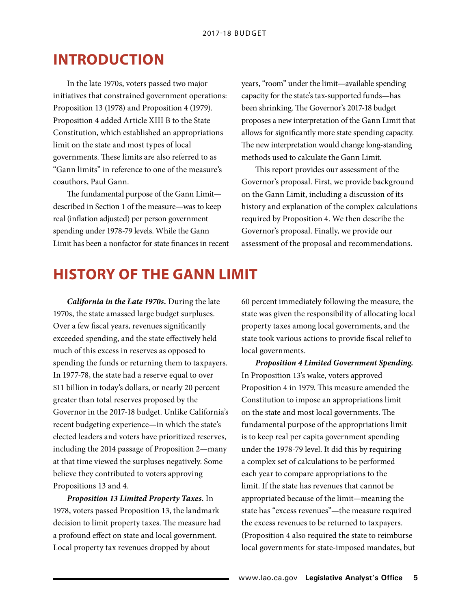# **INTRODUCTION**

In the late 1970s, voters passed two major initiatives that constrained government operations: Proposition 13 (1978) and Proposition 4 (1979). Proposition 4 added Article XIII B to the State Constitution, which established an appropriations limit on the state and most types of local governments. These limits are also referred to as "Gann limits" in reference to one of the measure's coauthors, Paul Gann.

The fundamental purpose of the Gann Limit described in Section 1 of the measure—was to keep real (inflation adjusted) per person government spending under 1978-79 levels. While the Gann Limit has been a nonfactor for state finances in recent years, "room" under the limit—available spending capacity for the state's tax-supported funds—has been shrinking. The Governor's 2017-18 budget proposes a new interpretation of the Gann Limit that allows for significantly more state spending capacity. The new interpretation would change long-standing methods used to calculate the Gann Limit.

This report provides our assessment of the Governor's proposal. First, we provide background on the Gann Limit, including a discussion of its history and explanation of the complex calculations required by Proposition 4. We then describe the Governor's proposal. Finally, we provide our assessment of the proposal and recommendations.

# **HISTORY OF THE GANN LIMIT**

*California in the Late 1970s.* During the late 1970s, the state amassed large budget surpluses. Over a few fiscal years, revenues significantly exceeded spending, and the state effectively held much of this excess in reserves as opposed to spending the funds or returning them to taxpayers. In 1977-78, the state had a reserve equal to over \$11 billion in today's dollars, or nearly 20 percent greater than total reserves proposed by the Governor in the 2017-18 budget. Unlike California's recent budgeting experience—in which the state's elected leaders and voters have prioritized reserves, including the 2014 passage of Proposition 2—many at that time viewed the surpluses negatively. Some believe they contributed to voters approving Propositions 13 and 4.

*Proposition 13 Limited Property Taxes.* In 1978, voters passed Proposition 13, the landmark decision to limit property taxes. The measure had a profound effect on state and local government. Local property tax revenues dropped by about

60 percent immediately following the measure, the state was given the responsibility of allocating local property taxes among local governments, and the state took various actions to provide fiscal relief to local governments.

*Proposition 4 Limited Government Spending.*  In Proposition 13's wake, voters approved Proposition 4 in 1979. This measure amended the Constitution to impose an appropriations limit on the state and most local governments. The fundamental purpose of the appropriations limit is to keep real per capita government spending under the 1978-79 level. It did this by requiring a complex set of calculations to be performed each year to compare appropriations to the limit. If the state has revenues that cannot be appropriated because of the limit—meaning the state has "excess revenues"—the measure required the excess revenues to be returned to taxpayers. (Proposition 4 also required the state to reimburse local governments for state-imposed mandates, but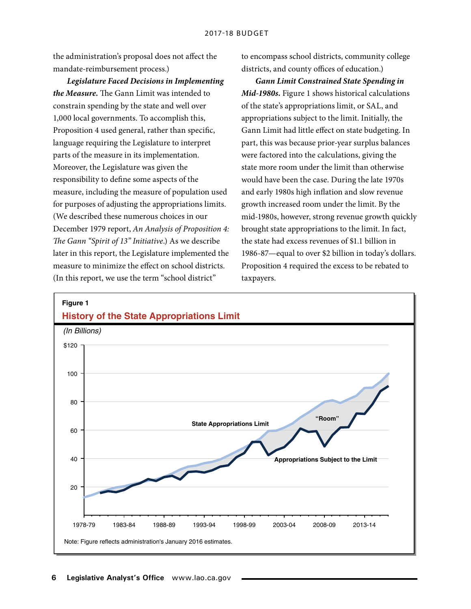the administration's proposal does not affect the mandate-reimbursement process.)

*Legislature Faced Decisions in Implementing the Measure.* The Gann Limit was intended to constrain spending by the state and well over 1,000 local governments. To accomplish this, Proposition 4 used general, rather than specific, language requiring the Legislature to interpret parts of the measure in its implementation. Moreover, the Legislature was given the responsibility to define some aspects of the measure, including the measure of population used for purposes of adjusting the appropriations limits. (We described these numerous choices in our December 1979 report, *An Analysis of Proposition 4: The Gann "Spirit of 13" Initiative*.) As we describe later in this report, the Legislature implemented the measure to minimize the effect on school districts. (In this report, we use the term "school district"

to encompass school districts, community college districts, and county offices of education.)

*Gann Limit Constrained State Spending in Mid-1980s.* Figure 1 shows historical calculations of the state's appropriations limit, or SAL, and appropriations subject to the limit. Initially, the Gann Limit had little effect on state budgeting. In part, this was because prior-year surplus balances were factored into the calculations, giving the state more room under the limit than otherwise would have been the case. During the late 1970s and early 1980s high inflation and slow revenue growth increased room under the limit. By the mid-1980s, however, strong revenue growth quickly brought state appropriations to the limit. In fact, the state had excess revenues of \$1.1 billion in 1986-87—equal to over \$2 billion in today's dollars. Proposition 4 required the excess to be rebated to taxpayers.



### **6 Legislative Analyst's Office** www.lao.ca.gov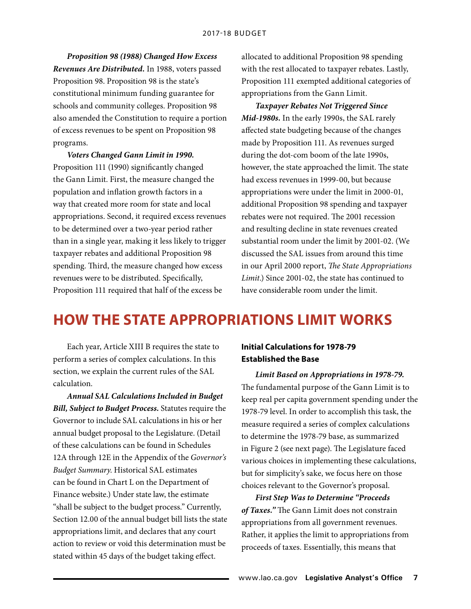*Proposition 98 (1988) Changed How Excess Revenues Are Distributed.* In 1988, voters passed Proposition 98. Proposition 98 is the state's constitutional minimum funding guarantee for schools and community colleges. Proposition 98 also amended the Constitution to require a portion of excess revenues to be spent on Proposition 98 programs.

*Voters Changed Gann Limit in 1990.*  Proposition 111 (1990) significantly changed the Gann Limit. First, the measure changed the population and inflation growth factors in a way that created more room for state and local appropriations. Second, it required excess revenues to be determined over a two-year period rather than in a single year, making it less likely to trigger taxpayer rebates and additional Proposition 98 spending. Third, the measure changed how excess revenues were to be distributed. Specifically, Proposition 111 required that half of the excess be

allocated to additional Proposition 98 spending with the rest allocated to taxpayer rebates. Lastly, Proposition 111 exempted additional categories of appropriations from the Gann Limit.

*Taxpayer Rebates Not Triggered Since Mid-1980s.* In the early 1990s, the SAL rarely affected state budgeting because of the changes made by Proposition 111. As revenues surged during the dot-com boom of the late 1990s, however, the state approached the limit. The state had excess revenues in 1999-00, but because appropriations were under the limit in 2000-01, additional Proposition 98 spending and taxpayer rebates were not required. The 2001 recession and resulting decline in state revenues created substantial room under the limit by 2001-02. (We discussed the SAL issues from around this time in our April 2000 report, *The State Appropriations Limit*.) Since 2001-02, the state has continued to have considerable room under the limit.

# **HOW THE STATE APPROPRIATIONS LIMIT WORKS**

Each year, Article XIII B requires the state to perform a series of complex calculations. In this section, we explain the current rules of the SAL calculation.

*Annual SAL Calculations Included in Budget Bill, Subject to Budget Process.* Statutes require the Governor to include SAL calculations in his or her annual budget proposal to the Legislature. (Detail of these calculations can be found in Schedules 12A through 12E in the Appendix of the *Governor's Budget Summary*. Historical SAL estimates can be found in Chart L on the Department of Finance website.) Under state law, the estimate "shall be subject to the budget process." Currently, Section 12.00 of the annual budget bill lists the state appropriations limit, and declares that any court action to review or void this determination must be stated within 45 days of the budget taking effect.

### **Initial Calculations for 1978-79 Established the Base**

*Limit Based on Appropriations in 1978-79.*  The fundamental purpose of the Gann Limit is to keep real per capita government spending under the 1978-79 level. In order to accomplish this task, the measure required a series of complex calculations to determine the 1978-79 base, as summarized in Figure 2 (see next page). The Legislature faced various choices in implementing these calculations, but for simplicity's sake, we focus here on those choices relevant to the Governor's proposal.

*First Step Was to Determine "Proceeds of Taxes."* The Gann Limit does not constrain appropriations from all government revenues. Rather, it applies the limit to appropriations from proceeds of taxes. Essentially, this means that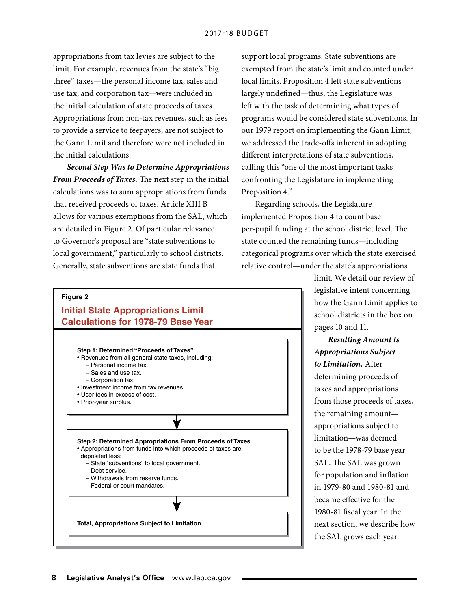appropriations from tax levies are subject to the limit. For example, revenues from the state's "big three" taxes—the personal income tax, sales and use tax, and corporation tax—were included in the initial calculation of state proceeds of taxes. Appropriations from non-tax revenues, such as fees to provide a service to feepayers, are not subject to the Gann Limit and therefore were not included in the initial calculations.

*Second Step Was to Determine Appropriations From Proceeds of Taxes.* The next step in the initial calculations was to sum appropriations from funds that received proceeds of taxes. Article XIII B allows for various exemptions from the SAL, which are detailed in Figure 2. Of particular relevance to Governor's proposal are "state subventions to local government," particularly to school districts. Generally, state subventions are state funds that

support local programs. State subventions are exempted from the state's limit and counted under local limits. Proposition 4 left state subventions largely undefined—thus, the Legislature was left with the task of determining what types of programs would be considered state subventions. In our 1979 report on implementing the Gann Limit, we addressed the trade-offs inherent in adopting different interpretations of state subventions, calling this "one of the most important tasks confronting the Legislature in implementing Proposition 4."

Regarding schools, the Legislature implemented Proposition 4 to count base per-pupil funding at the school district level. The state counted the remaining funds—including categorical programs over which the state exercised relative control—under the state's appropriations

**Figure 2**

### **Initial State Appropriations Limit Calculations for 1978-79 Base Year**



limit. We detail our review of legislative intent concerning how the Gann Limit applies to school districts in the box on pages 10 and 11.

### *Resulting Amount Is Appropriations Subject to Limitation.* After

determining proceeds of taxes and appropriations from those proceeds of taxes, the remaining amount appropriations subject to limitation—was deemed to be the 1978-79 base year SAL. The SAL was grown for population and inflation in 1979-80 and 1980-81 and became effective for the 1980-81 fiscal year. In the next section, we describe how the SAL grows each year.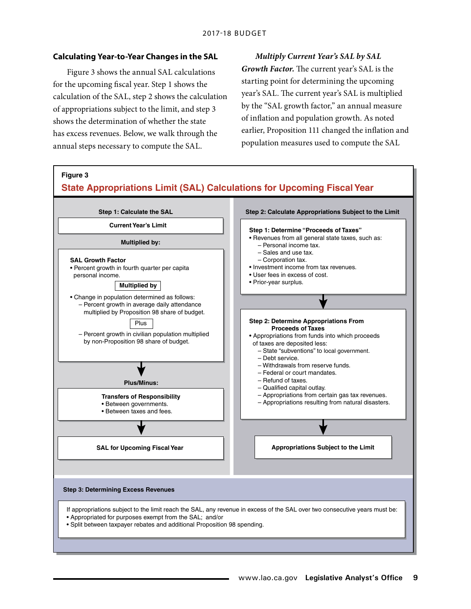#### **Calculating Year-to-Year Changes in the SAL**

Figure 3 shows the annual SAL calculations for the upcoming fiscal year. Step 1 shows the calculation of the SAL, step 2 shows the calculation of appropriations subject to the limit, and step 3 shows the determination of whether the state has excess revenues. Below, we walk through the annual steps necessary to compute the SAL.

*Multiply Current Year's SAL by SAL Growth Factor.* The current year's SAL is the starting point for determining the upcoming year's SAL. The current year's SAL is multiplied by the "SAL growth factor," an annual measure of inflation and population growth. As noted earlier, Proposition 111 changed the inflation and population measures used to compute the SAL

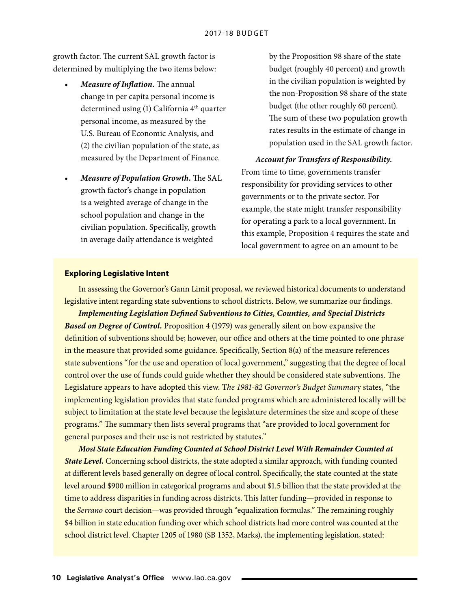growth factor. The current SAL growth factor is determined by multiplying the two items below:

- *Measure of Inflation.* The annual change in per capita personal income is determined using (1) California 4<sup>th</sup> quarter personal income, as measured by the U.S. Bureau of Economic Analysis, and (2) the civilian population of the state, as measured by the Department of Finance.
- *Measure of Population Growth.* The SAL growth factor's change in population is a weighted average of change in the school population and change in the civilian population. Specifically, growth in average daily attendance is weighted

by the Proposition 98 share of the state budget (roughly 40 percent) and growth in the civilian population is weighted by the non-Proposition 98 share of the state budget (the other roughly 60 percent). The sum of these two population growth rates results in the estimate of change in population used in the SAL growth factor.

#### *Account for Transfers of Responsibility.*

From time to time, governments transfer responsibility for providing services to other governments or to the private sector. For example, the state might transfer responsibility for operating a park to a local government. In this example, Proposition 4 requires the state and local government to agree on an amount to be

#### **Exploring Legislative Intent**

In assessing the Governor's Gann Limit proposal, we reviewed historical documents to understand legislative intent regarding state subventions to school districts. Below, we summarize our findings.

*Implementing Legislation Defined Subventions to Cities, Counties, and Special Districts Based on Degree of Control.* Proposition 4 (1979) was generally silent on how expansive the definition of subventions should be; however, our office and others at the time pointed to one phrase in the measure that provided some guidance. Specifically, Section 8(a) of the measure references state subventions "for the use and operation of local government," suggesting that the degree of local control over the use of funds could guide whether they should be considered state subventions. The Legislature appears to have adopted this view. T*he 1981-82 Governor's Budget Summar*y states, "the implementing legislation provides that state funded programs which are administered locally will be subject to limitation at the state level because the legislature determines the size and scope of these programs." The summary then lists several programs that "are provided to local government for general purposes and their use is not restricted by statutes."

*Most State Education Funding Counted at School District Level With Remainder Counted at State Level.* Concerning school districts, the state adopted a similar approach, with funding counted at different levels based generally on degree of local control. Specifically, the state counted at the state level around \$900 million in categorical programs and about \$1.5 billion that the state provided at the time to address disparities in funding across districts. This latter funding—provided in response to the *Serrano* court decision—was provided through "equalization formulas." The remaining roughly \$4 billion in state education funding over which school districts had more control was counted at the school district level. Chapter 1205 of 1980 (SB 1352, Marks), the implementing legislation, stated: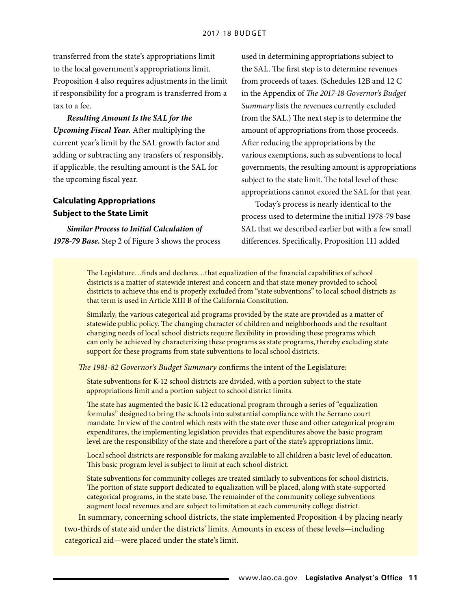transferred from the state's appropriations limit to the local government's appropriations limit. Proposition 4 also requires adjustments in the limit if responsibility for a program is transferred from a tax to a fee.

*Resulting Amount Is the SAL for the Upcoming Fiscal Year.* After multiplying the current year's limit by the SAL growth factor and adding or subtracting any transfers of responsibly, if applicable, the resulting amount is the SAL for the upcoming fiscal year.

### **Calculating Appropriations Subject to the State Limit**

*Similar Process to Initial Calculation of 1978-79 Base.* Step 2 of Figure 3 shows the process used in determining appropriations subject to the SAL. The first step is to determine revenues from proceeds of taxes. (Schedules 12B and 12 C in the Appendix of *The 2017-18 Governor's Budget Summary* lists the revenues currently excluded from the SAL.) The next step is to determine the amount of appropriations from those proceeds. After reducing the appropriations by the various exemptions, such as subventions to local governments, the resulting amount is appropriations subject to the state limit. The total level of these appropriations cannot exceed the SAL for that year.

Today's process is nearly identical to the process used to determine the initial 1978-79 base SAL that we described earlier but with a few small differences. Specifically, Proposition 111 added

The Legislature…finds and declares…that equalization of the financial capabilities of school districts is a matter of statewide interest and concern and that state money provided to school districts to achieve this end is properly excluded from "state subventions" to local school districts as that term is used in Article XIII B of the California Constitution.

Similarly, the various categorical aid programs provided by the state are provided as a matter of statewide public policy. The changing character of children and neighborhoods and the resultant changing needs of local school districts require flexibility in providing these programs which can only be achieved by characterizing these programs as state programs, thereby excluding state support for these programs from state subventions to local school districts.

*The 1981-82 Governor's Budget Summary* confirms the intent of the Legislature:

State subventions for K-12 school districts are divided, with a portion subject to the state appropriations limit and a portion subject to school district limits.

The state has augmented the basic K-12 educational program through a series of "equalization formulas" designed to bring the schools into substantial compliance with the Serrano court mandate. In view of the control which rests with the state over these and other categorical program expenditures, the implementing legislation provides that expenditures above the basic program level are the responsibility of the state and therefore a part of the state's appropriations limit.

Local school districts are responsible for making available to all children a basic level of education. This basic program level is subject to limit at each school district.

State subventions for community colleges are treated similarly to subventions for school districts. The portion of state support dedicated to equalization will be placed, along with state-supported categorical programs, in the state base. The remainder of the community college subventions augment local revenues and are subject to limitation at each community college district.

In summary, concerning school districts, the state implemented Proposition 4 by placing nearly two-thirds of state aid under the districts' limits. Amounts in excess of these levels—including categorical aid—were placed under the state's limit.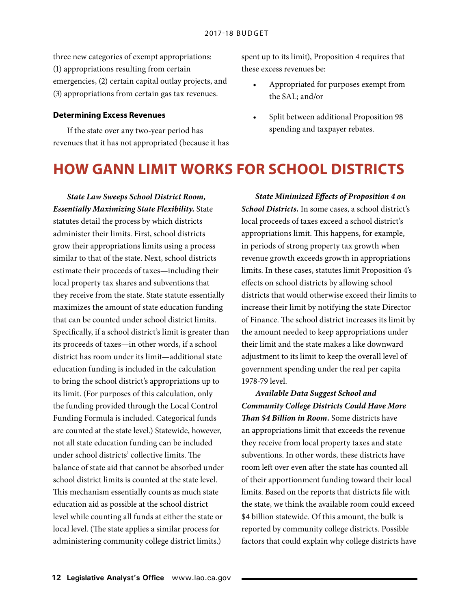three new categories of exempt appropriations: (1) appropriations resulting from certain emergencies, (2) certain capital outlay projects, and (3) appropriations from certain gas tax revenues.

#### **Determining Excess Revenues**

If the state over any two-year period has revenues that it has not appropriated (because it has spent up to its limit), Proposition 4 requires that these excess revenues be:

- Appropriated for purposes exempt from the SAL; and/or
- Split between additional Proposition 98 spending and taxpayer rebates.

# **HOW GANN LIMIT WORKS FOR SCHOOL DISTRICTS**

*State Law Sweeps School District Room, Essentially Maximizing State Flexibility.* State statutes detail the process by which districts administer their limits. First, school districts grow their appropriations limits using a process similar to that of the state. Next, school districts estimate their proceeds of taxes—including their local property tax shares and subventions that they receive from the state. State statute essentially maximizes the amount of state education funding that can be counted under school district limits. Specifically, if a school district's limit is greater than its proceeds of taxes—in other words, if a school district has room under its limit—additional state education funding is included in the calculation to bring the school district's appropriations up to its limit. (For purposes of this calculation, only the funding provided through the Local Control Funding Formula is included. Categorical funds are counted at the state level.) Statewide, however, not all state education funding can be included under school districts' collective limits. The balance of state aid that cannot be absorbed under school district limits is counted at the state level. This mechanism essentially counts as much state education aid as possible at the school district level while counting all funds at either the state or local level. (The state applies a similar process for administering community college district limits.)

*State Minimized Effects of Proposition 4 on School Districts.* In some cases, a school district's local proceeds of taxes exceed a school district's appropriations limit. This happens, for example, in periods of strong property tax growth when revenue growth exceeds growth in appropriations limits. In these cases, statutes limit Proposition 4's effects on school districts by allowing school districts that would otherwise exceed their limits to increase their limit by notifying the state Director of Finance. The school district increases its limit by the amount needed to keep appropriations under their limit and the state makes a like downward adjustment to its limit to keep the overall level of government spending under the real per capita 1978-79 level.

*Available Data Suggest School and Community College Districts Could Have More Than \$4 Billion in Room.* Some districts have an appropriations limit that exceeds the revenue they receive from local property taxes and state subventions. In other words, these districts have room left over even after the state has counted all of their apportionment funding toward their local limits. Based on the reports that districts file with the state, we think the available room could exceed \$4 billion statewide. Of this amount, the bulk is reported by community college districts. Possible factors that could explain why college districts have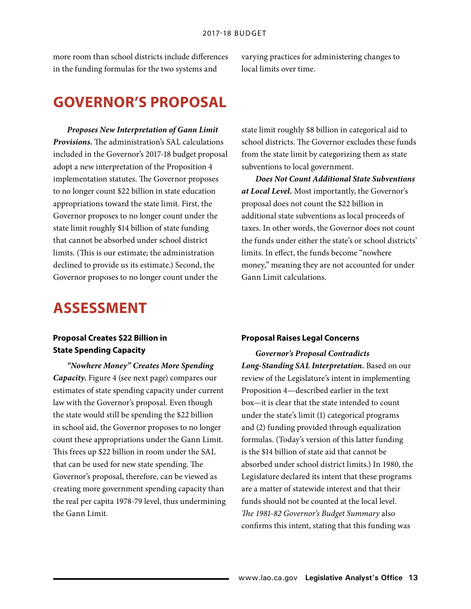more room than school districts include differences in the funding formulas for the two systems and

varying practices for administering changes to local limits over time.

# **GOVERNOR'S PROPOSAL**

*Proposes New Interpretation of Gann Limit Provisions.* The administration's SAL calculations included in the Governor's 2017-18 budget proposal adopt a new interpretation of the Proposition 4 implementation statutes. The Governor proposes to no longer count \$22 billion in state education appropriations toward the state limit. First, the Governor proposes to no longer count under the state limit roughly \$14 billion of state funding that cannot be absorbed under school district limits. (This is our estimate; the administration declined to provide us its estimate.) Second, the Governor proposes to no longer count under the

**ASSESSMENT**

### **Proposal Creates \$22 Billion in State Spending Capacity**

*"Nowhere Money" Creates More Spending Capacity.* Figure 4 (see next page) compares our estimates of state spending capacity under current law with the Governor's proposal. Even though the state would still be spending the \$22 billion in school aid, the Governor proposes to no longer count these appropriations under the Gann Limit. This frees up \$22 billion in room under the SAL that can be used for new state spending. The Governor's proposal, therefore, can be viewed as creating more government spending capacity than the real per capita 1978-79 level, thus undermining the Gann Limit.

state limit roughly \$8 billion in categorical aid to school districts. The Governor excludes these funds from the state limit by categorizing them as state subventions to local government.

*Does Not Count Additional State Subventions at Local Level.* Most importantly, the Governor's proposal does not count the \$22 billion in additional state subventions as local proceeds of taxes. In other words, the Governor does not count the funds under either the state's or school districts' limits. In effect, the funds become "nowhere money," meaning they are not accounted for under Gann Limit calculations.

#### **Proposal Raises Legal Concerns**

*Governor's Proposal Contradicts Long-Standing SAL Interpretation.* Based on our review of the Legislature's intent in implementing Proposition 4—described earlier in the text box—it is clear that the state intended to count under the state's limit (1) categorical programs and (2) funding provided through equalization formulas. (Today's version of this latter funding is the \$14 billion of state aid that cannot be absorbed under school district limits.) In 1980, the Legislature declared its intent that these programs are a matter of statewide interest and that their funds should not be counted at the local level. *The 1981-82 Governor's Budget Summary* also confirms this intent, stating that this funding was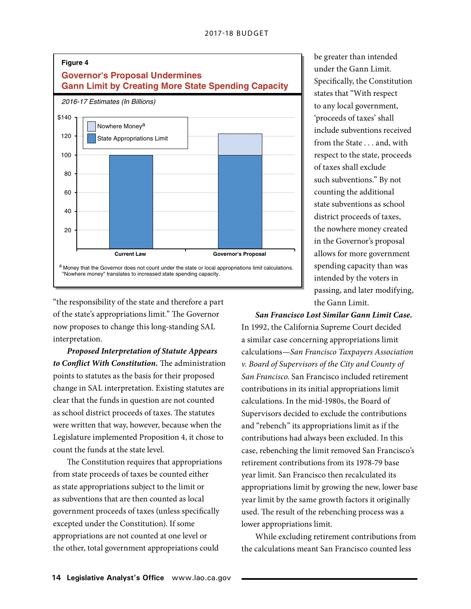

"the responsibility of the state and therefore a part of the state's appropriations limit." The Governor now proposes to change this long-standing SAL interpretation.

*Proposed Interpretation of Statute Appears to Conflict With Constitution.* The administration points to statutes as the basis for their proposed change in SAL interpretation. Existing statutes are clear that the funds in question are not counted as school district proceeds of taxes. The statutes were written that way, however, because when the Legislature implemented Proposition 4, it chose to count the funds at the state level.

The Constitution requires that appropriations from state proceeds of taxes be counted either as state appropriations subject to the limit or as subventions that are then counted as local government proceeds of taxes (unless specifically excepted under the Constitution). If some appropriations are not counted at one level or the other, total government appropriations could

be greater than intended under the Gann Limit. Specifically, the Constitution states that "With respect to any local government, 'proceeds of taxes' shall include subventions received from the State . . . and, with respect to the state, proceeds of taxes shall exclude such subventions." By not counting the additional state subventions as school district proceeds of taxes, the nowhere money created in the Governor's proposal allows for more government spending capacity than was intended by the voters in passing, and later modifying, the Gann Limit.

*San Francisco Lost Similar Gann Limit Case.* 

In 1992, the California Supreme Court decided a similar case concerning appropriations limit calculations—*San Francisco Taxpayers Association v. Board of Supervisors of the City and County of San Francisco*. San Francisco included retirement contributions in its initial appropriations limit calculations. In the mid-1980s, the Board of Supervisors decided to exclude the contributions and "rebench" its appropriations limit as if the contributions had always been excluded. In this case, rebenching the limit removed San Francisco's retirement contributions from its 1978-79 base year limit. San Francisco then recalculated its appropriations limit by growing the new, lower base year limit by the same growth factors it originally used. The result of the rebenching process was a lower appropriations limit.

While excluding retirement contributions from the calculations meant San Francisco counted less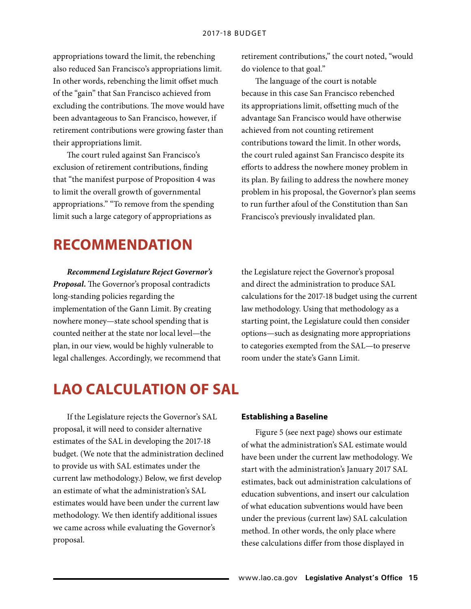appropriations toward the limit, the rebenching also reduced San Francisco's appropriations limit. In other words, rebenching the limit offset much of the "gain" that San Francisco achieved from excluding the contributions. The move would have been advantageous to San Francisco, however, if retirement contributions were growing faster than their appropriations limit.

The court ruled against San Francisco's exclusion of retirement contributions, finding that "the manifest purpose of Proposition 4 was to limit the overall growth of governmental appropriations." "To remove from the spending limit such a large category of appropriations as

# **RECOMMENDATION**

*Recommend Legislature Reject Governor's Proposal.* The Governor's proposal contradicts long-standing policies regarding the implementation of the Gann Limit. By creating nowhere money—state school spending that is counted neither at the state nor local level—the plan, in our view, would be highly vulnerable to legal challenges. Accordingly, we recommend that retirement contributions," the court noted, "would do violence to that goal."

The language of the court is notable because in this case San Francisco rebenched its appropriations limit, offsetting much of the advantage San Francisco would have otherwise achieved from not counting retirement contributions toward the limit. In other words, the court ruled against San Francisco despite its efforts to address the nowhere money problem in its plan. By failing to address the nowhere money problem in his proposal, the Governor's plan seems to run further afoul of the Constitution than San Francisco's previously invalidated plan.

the Legislature reject the Governor's proposal and direct the administration to produce SAL calculations for the 2017-18 budget using the current law methodology. Using that methodology as a starting point, the Legislature could then consider options—such as designating more appropriations to categories exempted from the SAL—to preserve room under the state's Gann Limit.

# **LAO CALCULATION OF SAL**

If the Legislature rejects the Governor's SAL proposal, it will need to consider alternative estimates of the SAL in developing the 2017-18 budget. (We note that the administration declined to provide us with SAL estimates under the current law methodology.) Below, we first develop an estimate of what the administration's SAL estimates would have been under the current law methodology. We then identify additional issues we came across while evaluating the Governor's proposal.

#### **Establishing a Baseline**

Figure 5 (see next page) shows our estimate of what the administration's SAL estimate would have been under the current law methodology. We start with the administration's January 2017 SAL estimates, back out administration calculations of education subventions, and insert our calculation of what education subventions would have been under the previous (current law) SAL calculation method. In other words, the only place where these calculations differ from those displayed in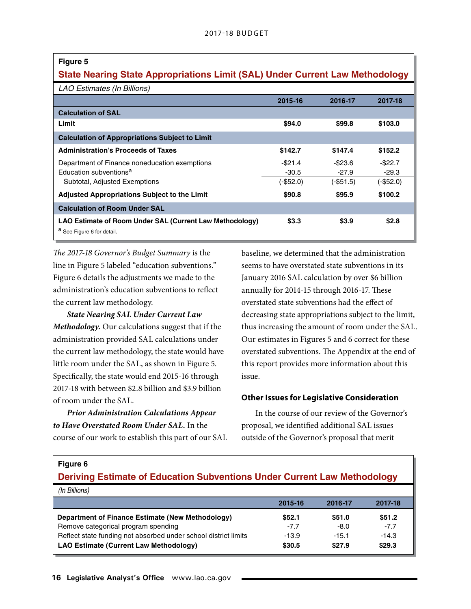| Figure 5<br><b>State Nearing State Appropriations Limit (SAL) Under Current Law Methodology</b> |           |             |            |
|-------------------------------------------------------------------------------------------------|-----------|-------------|------------|
| LAO Estimates (In Billions)                                                                     |           |             |            |
|                                                                                                 | 2015-16   | 2016-17     | 2017-18    |
| <b>Calculation of SAL</b>                                                                       |           |             |            |
| Limit                                                                                           | \$94.0    | \$99.8      | \$103.0    |
| <b>Calculation of Appropriations Subject to Limit</b>                                           |           |             |            |
| <b>Administration's Proceeds of Taxes</b>                                                       | \$142.7   | \$147.4     | \$152.2    |
| Department of Finance noneducation exemptions                                                   | $-$21.4$  | $-$23.6$    | $-$ \$22.7 |
| Education subventions <sup>a</sup>                                                              | $-30.5$   | $-27.9$     | $-29.3$    |
| Subtotal, Adjusted Exemptions                                                                   | (-\$52.0) | $(-\$51.5)$ | $(-$52.0)$ |
| <b>Adjusted Appropriations Subject to the Limit</b>                                             | \$90.8    | \$95.9      | \$100.2    |
| <b>Calculation of Room Under SAL</b>                                                            |           |             |            |
| LAO Estimate of Room Under SAL (Current Law Methodology)<br>a See Figure 6 for detail.          | \$3.3     | \$3.9       | \$2.8      |

*The 2017-18 Governor's Budget Summary* is the line in Figure 5 labeled "education subventions." Figure 6 details the adjustments we made to the administration's education subventions to reflect the current law methodology.

*State Nearing SAL Under Current Law Methodology.* Our calculations suggest that if the administration provided SAL calculations under the current law methodology, the state would have little room under the SAL, as shown in Figure 5. Specifically, the state would end 2015-16 through 2017-18 with between \$2.8 billion and \$3.9 billion of room under the SAL.

*Prior Administration Calculations Appear to Have Overstated Room Under SAL.* In the course of our work to establish this part of our SAL baseline, we determined that the administration seems to have overstated state subventions in its January 2016 SAL calculation by over \$6 billion annually for 2014-15 through 2016-17. These overstated state subventions had the effect of decreasing state appropriations subject to the limit, thus increasing the amount of room under the SAL. Our estimates in Figures 5 and 6 correct for these overstated subventions. The Appendix at the end of this report provides more information about this issue.

#### **Other Issues for Legislative Consideration**

In the course of our review of the Governor's proposal, we identified additional SAL issues outside of the Governor's proposal that merit

| Figure 6<br>Deriving Estimate of Education Subventions Under Current Law Methodology |         |         |         |
|--------------------------------------------------------------------------------------|---------|---------|---------|
| (In Billions)                                                                        |         |         |         |
|                                                                                      | 2015-16 | 2016-17 | 2017-18 |
| <b>Department of Finance Estimate (New Methodology)</b>                              | \$52.1  | \$51.0  | \$51.2  |
| Remove categorical program spending                                                  | $-7.7$  | $-8.0$  | $-7.7$  |
| Reflect state funding not absorbed under school district limits                      | $-13.9$ | $-15.1$ | $-14.3$ |
| <b>LAO Estimate (Current Law Methodology)</b>                                        | \$30.5  | \$27.9  | \$29.3  |

### **16 Legislative Analyst's Office** www.lao.ca.gov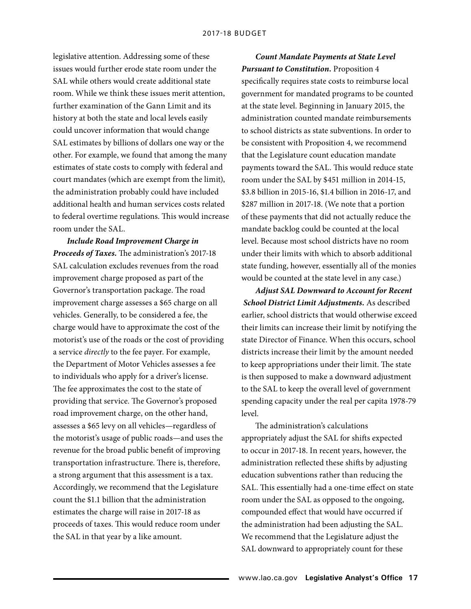legislative attention. Addressing some of these issues would further erode state room under the SAL while others would create additional state room. While we think these issues merit attention, further examination of the Gann Limit and its history at both the state and local levels easily could uncover information that would change SAL estimates by billions of dollars one way or the other. For example, we found that among the many estimates of state costs to comply with federal and court mandates (which are exempt from the limit), the administration probably could have included additional health and human services costs related to federal overtime regulations. This would increase room under the SAL.

*Include Road Improvement Charge in Proceeds of Taxes.* The administration's 2017-18 SAL calculation excludes revenues from the road improvement charge proposed as part of the Governor's transportation package. The road improvement charge assesses a \$65 charge on all vehicles. Generally, to be considered a fee, the charge would have to approximate the cost of the motorist's use of the roads or the cost of providing a service *directly* to the fee payer. For example, the Department of Motor Vehicles assesses a fee to individuals who apply for a driver's license. The fee approximates the cost to the state of providing that service. The Governor's proposed road improvement charge, on the other hand, assesses a \$65 levy on all vehicles—regardless of the motorist's usage of public roads—and uses the revenue for the broad public benefit of improving transportation infrastructure. There is, therefore, a strong argument that this assessment is a tax. Accordingly, we recommend that the Legislature count the \$1.1 billion that the administration estimates the charge will raise in 2017-18 as proceeds of taxes. This would reduce room under the SAL in that year by a like amount.

*Count Mandate Payments at State Level Pursuant to Constitution.* Proposition 4 specifically requires state costs to reimburse local government for mandated programs to be counted at the state level. Beginning in January 2015, the administration counted mandate reimbursements to school districts as state subventions. In order to be consistent with Proposition 4, we recommend that the Legislature count education mandate payments toward the SAL. This would reduce state room under the SAL by \$451 million in 2014-15, \$3.8 billion in 2015-16, \$1.4 billion in 2016-17, and \$287 million in 2017-18. (We note that a portion of these payments that did not actually reduce the mandate backlog could be counted at the local level. Because most school districts have no room under their limits with which to absorb additional state funding, however, essentially all of the monies would be counted at the state level in any case.)

*Adjust SAL Downward to Account for Recent School District Limit Adjustments.* As described earlier, school districts that would otherwise exceed their limits can increase their limit by notifying the state Director of Finance. When this occurs, school districts increase their limit by the amount needed to keep appropriations under their limit. The state is then supposed to make a downward adjustment to the SAL to keep the overall level of government spending capacity under the real per capita 1978-79 level.

The administration's calculations appropriately adjust the SAL for shifts expected to occur in 2017-18. In recent years, however, the administration reflected these shifts by adjusting education subventions rather than reducing the SAL. This essentially had a one-time effect on state room under the SAL as opposed to the ongoing, compounded effect that would have occurred if the administration had been adjusting the SAL. We recommend that the Legislature adjust the SAL downward to appropriately count for these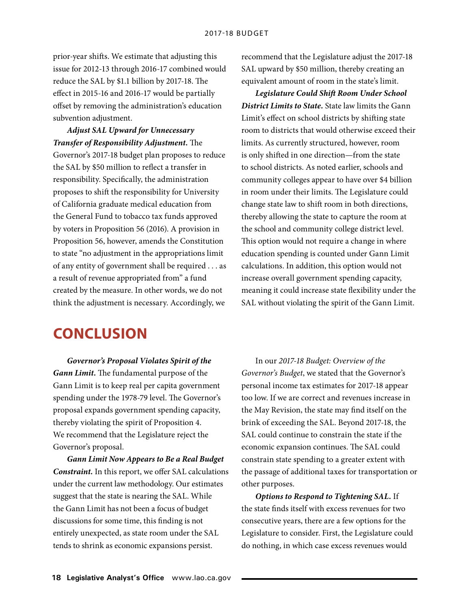prior-year shifts. We estimate that adjusting this issue for 2012-13 through 2016-17 combined would reduce the SAL by \$1.1 billion by 2017-18. The effect in 2015-16 and 2016-17 would be partially offset by removing the administration's education subvention adjustment.

*Adjust SAL Upward for Unnecessary Transfer of Responsibility Adjustment.* The Governor's 2017-18 budget plan proposes to reduce the SAL by \$50 million to reflect a transfer in responsibility. Specifically, the administration proposes to shift the responsibility for University of California graduate medical education from the General Fund to tobacco tax funds approved by voters in Proposition 56 (2016). A provision in Proposition 56, however, amends the Constitution to state "no adjustment in the appropriations limit of any entity of government shall be required . . . as a result of revenue appropriated from" a fund created by the measure. In other words, we do not think the adjustment is necessary. Accordingly, we

recommend that the Legislature adjust the 2017-18 SAL upward by \$50 million, thereby creating an equivalent amount of room in the state's limit.

*Legislature Could Shift Room Under School District Limits to State.* State law limits the Gann Limit's effect on school districts by shifting state room to districts that would otherwise exceed their limits. As currently structured, however, room is only shifted in one direction—from the state to school districts. As noted earlier, schools and community colleges appear to have over \$4 billion in room under their limits. The Legislature could change state law to shift room in both directions, thereby allowing the state to capture the room at the school and community college district level. This option would not require a change in where education spending is counted under Gann Limit calculations. In addition, this option would not increase overall government spending capacity, meaning it could increase state flexibility under the SAL without violating the spirit of the Gann Limit.

# **CONCLUSION**

*Governor's Proposal Violates Spirit of the Gann Limit.* The fundamental purpose of the Gann Limit is to keep real per capita government spending under the 1978-79 level. The Governor's proposal expands government spending capacity, thereby violating the spirit of Proposition 4. We recommend that the Legislature reject the Governor's proposal.

*Gann Limit Now Appears to Be a Real Budget Constraint.* In this report, we offer SAL calculations under the current law methodology. Our estimates suggest that the state is nearing the SAL. While the Gann Limit has not been a focus of budget discussions for some time, this finding is not entirely unexpected, as state room under the SAL tends to shrink as economic expansions persist.

In our *2017-18 Budget: Overview of the Governor's Budget*, we stated that the Governor's personal income tax estimates for 2017-18 appear too low. If we are correct and revenues increase in the May Revision, the state may find itself on the brink of exceeding the SAL. Beyond 2017-18, the SAL could continue to constrain the state if the economic expansion continues. The SAL could constrain state spending to a greater extent with the passage of additional taxes for transportation or other purposes.

*Options to Respond to Tightening SAL.* If the state finds itself with excess revenues for two consecutive years, there are a few options for the Legislature to consider. First, the Legislature could do nothing, in which case excess revenues would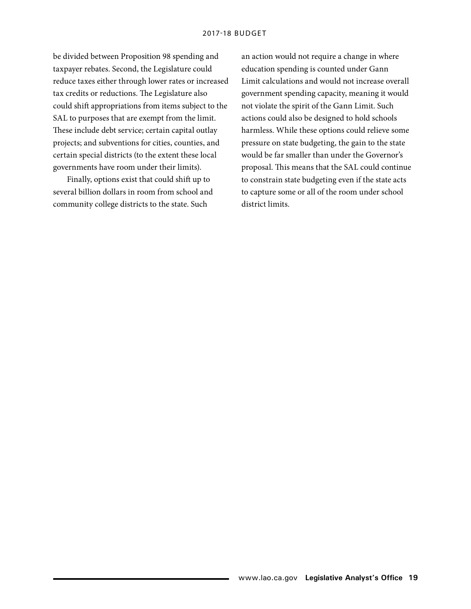be divided between Proposition 98 spending and taxpayer rebates. Second, the Legislature could reduce taxes either through lower rates or increased tax credits or reductions. The Legislature also could shift appropriations from items subject to the SAL to purposes that are exempt from the limit. These include debt service; certain capital outlay projects; and subventions for cities, counties, and certain special districts (to the extent these local governments have room under their limits).

Finally, options exist that could shift up to several billion dollars in room from school and community college districts to the state. Such

an action would not require a change in where education spending is counted under Gann Limit calculations and would not increase overall government spending capacity, meaning it would not violate the spirit of the Gann Limit. Such actions could also be designed to hold schools harmless. While these options could relieve some pressure on state budgeting, the gain to the state would be far smaller than under the Governor's proposal. This means that the SAL could continue to constrain state budgeting even if the state acts to capture some or all of the room under school district limits.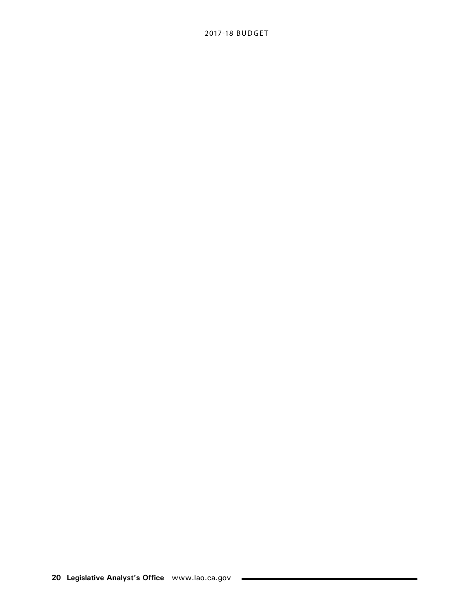#### 2017-18 BUDGET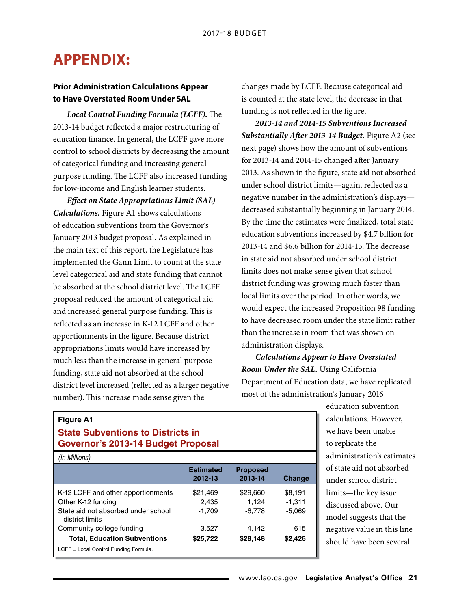# **APPENDIX:**

### **Prior Administration Calculations Appear to Have Overstated Room Under SAL**

*Local Control Funding Formula (LCFF).* The 2013-14 budget reflected a major restructuring of education finance. In general, the LCFF gave more control to school districts by decreasing the amount of categorical funding and increasing general purpose funding. The LCFF also increased funding for low-income and English learner students.

*Effect on State Appropriations Limit (SAL) Calculations.* Figure A1 shows calculations of education subventions from the Governor's January 2013 budget proposal. As explained in the main text of this report, the Legislature has implemented the Gann Limit to count at the state level categorical aid and state funding that cannot be absorbed at the school district level. The LCFF proposal reduced the amount of categorical aid and increased general purpose funding. This is reflected as an increase in K-12 LCFF and other apportionments in the figure. Because district appropriations limits would have increased by much less than the increase in general purpose funding, state aid not absorbed at the school district level increased (reflected as a larger negative number). This increase made sense given the

changes made by LCFF. Because categorical aid is counted at the state level, the decrease in that funding is not reflected in the figure.

*2013-14 and 2014-15 Subventions Increased Substantially After 2013-14 Budget.* Figure A2 (see next page) shows how the amount of subventions for 2013-14 and 2014-15 changed after January 2013. As shown in the figure, state aid not absorbed under school district limits—again, reflected as a negative number in the administration's displays decreased substantially beginning in January 2014. By the time the estimates were finalized, total state education subventions increased by \$4.7 billion for 2013-14 and \$6.6 billion for 2014-15. The decrease in state aid not absorbed under school district limits does not make sense given that school district funding was growing much faster than local limits over the period. In other words, we would expect the increased Proposition 98 funding to have decreased room under the state limit rather than the increase in room that was shown on administration displays.

*Calculations Appear to Have Overstated Room Under the SAL.* Using California Department of Education data, we have replicated most of the administration's January 2016

#### **Figure A1**

### **State Subventions to Districts in Governor's 2013-14 Budget Proposal**

| (In Millions)                                          |                             |                            |               |
|--------------------------------------------------------|-----------------------------|----------------------------|---------------|
|                                                        | <b>Estimated</b><br>2012-13 | <b>Proposed</b><br>2013-14 | <b>Change</b> |
| K-12 LCFF and other apportionments                     | \$21,469                    | \$29,660                   | \$8,191       |
| Other K-12 funding                                     | 2,435                       | 1.124                      | $-1,311$      |
| State aid not absorbed under school<br>district limits | $-1,709$                    | $-6,778$                   | $-5,069$      |
| Community college funding                              | 3,527                       | 4,142                      | 615           |
| <b>Total, Education Subventions</b>                    | \$25,722                    | \$28,148                   | \$2,426       |
| LCFF = Local Control Funding Formula.                  |                             |                            |               |

education subvention calculations. However, we have been unable to replicate the administration's estimates of state aid not absorbed under school district limits—the key issue discussed above. Our model suggests that the negative value in this line should have been several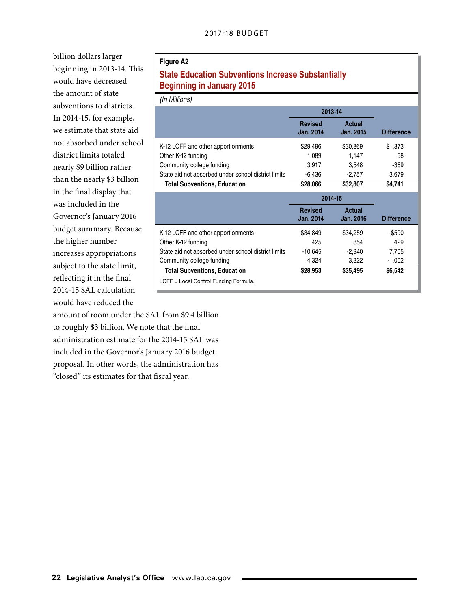billion dollars larger beginning in 2013-14. This would have decreased the amount of state subventions to districts. In 2014-15, for example, we estimate that state aid not absorbed under school district limits totaled nearly \$9 billion rather than the nearly \$3 billion in the final display that was included in the Governor's January 2016 budget summary. Because the higher number increases appropriations subject to the state limit, reflecting it in the final 2014-15 SAL calculation would have reduced the

## **Figure A2 State Education Subventions Increase Substantially Beginning in January 2015**

| (In Millions)                                       |                             |                            |                   |
|-----------------------------------------------------|-----------------------------|----------------------------|-------------------|
|                                                     | 2013-14                     |                            |                   |
|                                                     | <b>Revised</b><br>Jan. 2014 | Actual<br>Jan. 2015        | <b>Difference</b> |
| K-12 LCFF and other apportionments                  | \$29,496                    | \$30,869                   | \$1,373           |
| Other K-12 funding                                  | 1,089                       | 1,147                      | 58                |
| Community college funding                           | 3,917                       | 3,548                      | -369              |
| State aid not absorbed under school district limits | $-6,436$                    | $-2,757$                   | 3,679             |
| <b>Total Subventions, Education</b>                 | \$28,066                    | \$32,807                   | \$4,741           |
|                                                     | 2014-15                     |                            |                   |
|                                                     |                             |                            |                   |
|                                                     | <b>Revised</b><br>Jan. 2014 | Actual<br><b>Jan. 2016</b> | <b>Difference</b> |
| K-12 LCFF and other apportionments                  | \$34,849                    | \$34,259                   | $-$ \$590         |
| Other K-12 funding                                  | 425                         | 854                        | 429               |
| State aid not absorbed under school district limits | $-10,645$                   | $-2,940$                   | 7,705             |
| Community college funding                           | 4,324                       | 3,322                      | $-1,002$          |
| <b>Total Subventions, Education</b>                 | \$28,953                    | \$35,495                   | \$6,542           |

amount of room under the SAL from \$9.4 billion to roughly \$3 billion. We note that the final administration estimate for the 2014-15 SAL was included in the Governor's January 2016 budget proposal. In other words, the administration has "closed" its estimates for that fiscal year.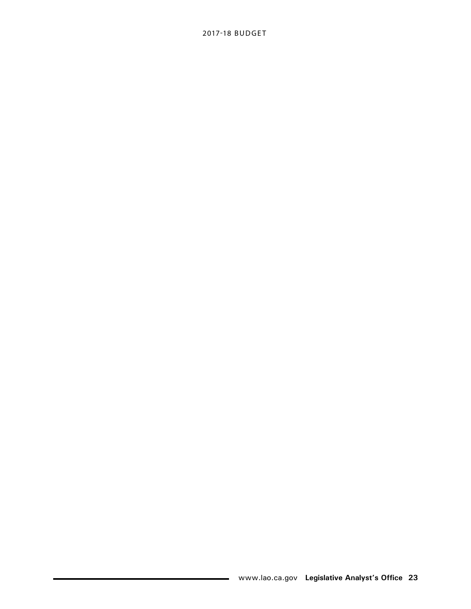#### 2017-18 BUDGET

L,